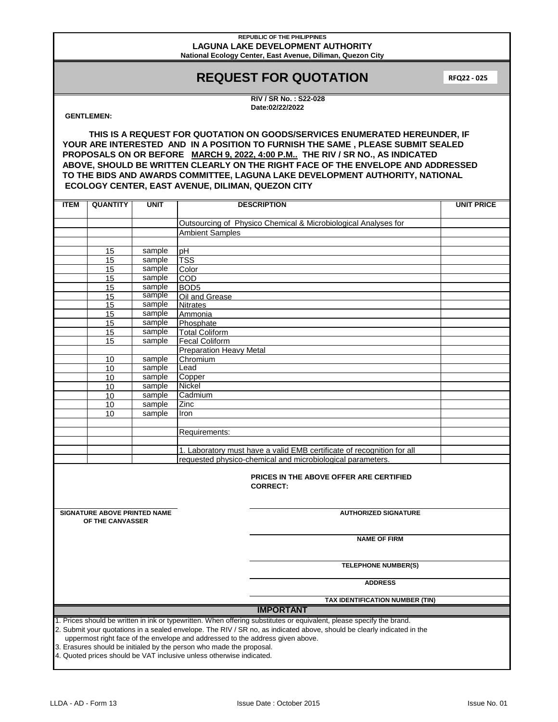### **REPUBLIC OF THE PHILIPPINES LAGUNA LAKE DEVELOPMENT AUTHORITY National Ecology Center, East Avenue, Diliman, Quezon City**

# **REQUEST FOR QUOTATION**

**RFQ22 - 025**

**RIV / SR No. : S22-028 Date:02/22/2022**

## **GENTLEMEN:**

**THIS IS A REQUEST FOR QUOTATION ON GOODS/SERVICES ENUMERATED HEREUNDER, IF YOUR ARE INTERESTED AND IN A POSITION TO FURNISH THE SAME , PLEASE SUBMIT SEALED PROPOSALS ON OR BEFORE MARCH 9, 2022, 4:00 P.M.. THE RIV / SR NO., AS INDICATED ABOVE, SHOULD BE WRITTEN CLEARLY ON THE RIGHT FACE OF THE ENVELOPE AND ADDRESSED TO THE BIDS AND AWARDS COMMITTEE, LAGUNA LAKE DEVELOPMENT AUTHORITY, NATIONAL ECOLOGY CENTER, EAST AVENUE, DILIMAN, QUEZON CITY**

| <b>ITEM</b>                                                                                                                                                                                                                                                                                                                                               | <b>QUANTITY</b>     | <b>UNIT</b>      | <b>DESCRIPTION</b>                                                     | <b>UNIT PRICE</b> |  |  |  |  |
|-----------------------------------------------------------------------------------------------------------------------------------------------------------------------------------------------------------------------------------------------------------------------------------------------------------------------------------------------------------|---------------------|------------------|------------------------------------------------------------------------|-------------------|--|--|--|--|
|                                                                                                                                                                                                                                                                                                                                                           |                     |                  |                                                                        |                   |  |  |  |  |
|                                                                                                                                                                                                                                                                                                                                                           |                     |                  | Outsourcing of Physico Chemical & Microbiological Analyses for         |                   |  |  |  |  |
|                                                                                                                                                                                                                                                                                                                                                           |                     |                  | <b>Ambient Samples</b>                                                 |                   |  |  |  |  |
|                                                                                                                                                                                                                                                                                                                                                           |                     |                  |                                                                        |                   |  |  |  |  |
|                                                                                                                                                                                                                                                                                                                                                           | 15                  | sample           | pH                                                                     |                   |  |  |  |  |
|                                                                                                                                                                                                                                                                                                                                                           | 15                  | sample           | <b>TSS</b>                                                             |                   |  |  |  |  |
|                                                                                                                                                                                                                                                                                                                                                           | 15                  | sample           | Color                                                                  |                   |  |  |  |  |
|                                                                                                                                                                                                                                                                                                                                                           | 15                  | sample           | COD                                                                    |                   |  |  |  |  |
|                                                                                                                                                                                                                                                                                                                                                           | 15                  | sample<br>sample | BOD <sub>5</sub>                                                       |                   |  |  |  |  |
|                                                                                                                                                                                                                                                                                                                                                           | 15<br>15            | sample           | Oil and Grease<br><b>Nitrates</b>                                      |                   |  |  |  |  |
|                                                                                                                                                                                                                                                                                                                                                           | 15                  | sample           | Ammonia                                                                |                   |  |  |  |  |
|                                                                                                                                                                                                                                                                                                                                                           | 15                  | sample           | Phosphate                                                              |                   |  |  |  |  |
|                                                                                                                                                                                                                                                                                                                                                           | 15                  | sample           | <b>Total Coliform</b>                                                  |                   |  |  |  |  |
|                                                                                                                                                                                                                                                                                                                                                           | 15                  | sample           | <b>Fecal Coliform</b>                                                  |                   |  |  |  |  |
|                                                                                                                                                                                                                                                                                                                                                           |                     |                  | <b>Preparation Heavy Metal</b>                                         |                   |  |  |  |  |
|                                                                                                                                                                                                                                                                                                                                                           | 10                  | sample           | Chromium                                                               |                   |  |  |  |  |
|                                                                                                                                                                                                                                                                                                                                                           | 10                  | sample           | Lead                                                                   |                   |  |  |  |  |
|                                                                                                                                                                                                                                                                                                                                                           | 10                  | sample           | Copper                                                                 |                   |  |  |  |  |
|                                                                                                                                                                                                                                                                                                                                                           | 10                  | sample           | Nickel                                                                 |                   |  |  |  |  |
|                                                                                                                                                                                                                                                                                                                                                           | 10                  | sample           | Cadmium                                                                |                   |  |  |  |  |
|                                                                                                                                                                                                                                                                                                                                                           | 10                  | sample           | Zinc                                                                   |                   |  |  |  |  |
|                                                                                                                                                                                                                                                                                                                                                           | 10                  | sample           | Iron                                                                   |                   |  |  |  |  |
|                                                                                                                                                                                                                                                                                                                                                           |                     |                  |                                                                        |                   |  |  |  |  |
|                                                                                                                                                                                                                                                                                                                                                           |                     |                  | Requirements:                                                          |                   |  |  |  |  |
|                                                                                                                                                                                                                                                                                                                                                           |                     |                  |                                                                        |                   |  |  |  |  |
|                                                                                                                                                                                                                                                                                                                                                           |                     |                  | 1. Laboratory must have a valid EMB certificate of recognition for all |                   |  |  |  |  |
|                                                                                                                                                                                                                                                                                                                                                           |                     |                  | requested physico-chemical and microbiological parameters.             |                   |  |  |  |  |
| <b>PRICES IN THE ABOVE OFFER ARE CERTIFIED</b><br><b>CORRECT:</b>                                                                                                                                                                                                                                                                                         |                     |                  |                                                                        |                   |  |  |  |  |
| <b>SIGNATURE ABOVE PRINTED NAME</b><br><b>AUTHORIZED SIGNATURE</b>                                                                                                                                                                                                                                                                                        |                     |                  |                                                                        |                   |  |  |  |  |
| OF THE CANVASSER                                                                                                                                                                                                                                                                                                                                          |                     |                  |                                                                        |                   |  |  |  |  |
|                                                                                                                                                                                                                                                                                                                                                           | <b>NAME OF FIRM</b> |                  |                                                                        |                   |  |  |  |  |
| <b>TELEPHONE NUMBER(S)</b>                                                                                                                                                                                                                                                                                                                                |                     |                  |                                                                        |                   |  |  |  |  |
|                                                                                                                                                                                                                                                                                                                                                           |                     |                  | <b>ADDRESS</b>                                                         |                   |  |  |  |  |
| TAX IDENTIFICATION NUMBER (TIN)                                                                                                                                                                                                                                                                                                                           |                     |                  |                                                                        |                   |  |  |  |  |
| <b>IMPORTANT</b>                                                                                                                                                                                                                                                                                                                                          |                     |                  |                                                                        |                   |  |  |  |  |
| 1. Prices should be written in ink or typewritten. When offering substitutes or equivalent, please specify the brand.                                                                                                                                                                                                                                     |                     |                  |                                                                        |                   |  |  |  |  |
| 2. Submit your quotations in a sealed envelope. The RIV / SR no, as indicated above, should be clearly indicated in the<br>uppermost right face of the envelope and addressed to the address given above.<br>3. Erasures should be initialed by the person who made the proposal.<br>4. Quoted prices should be VAT inclusive unless otherwise indicated. |                     |                  |                                                                        |                   |  |  |  |  |